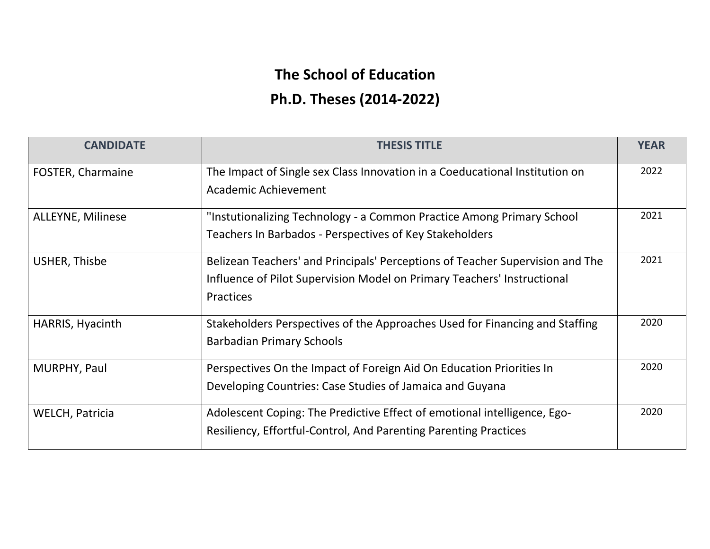## **The School of Education Ph.D. Theses (2014-2022)**

| <b>CANDIDATE</b>         | <b>THESIS TITLE</b>                                                                                                                                                   | <b>YEAR</b> |
|--------------------------|-----------------------------------------------------------------------------------------------------------------------------------------------------------------------|-------------|
| FOSTER, Charmaine        | The Impact of Single sex Class Innovation in a Coeducational Institution on<br>Academic Achievement                                                                   | 2022        |
| <b>ALLEYNE, Milinese</b> | "Instutionalizing Technology - a Common Practice Among Primary School<br>Teachers In Barbados - Perspectives of Key Stakeholders                                      | 2021        |
| <b>USHER, Thisbe</b>     | Belizean Teachers' and Principals' Perceptions of Teacher Supervision and The<br>Influence of Pilot Supervision Model on Primary Teachers' Instructional<br>Practices | 2021        |
| HARRIS, Hyacinth         | Stakeholders Perspectives of the Approaches Used for Financing and Staffing<br><b>Barbadian Primary Schools</b>                                                       | 2020        |
| MURPHY, Paul             | Perspectives On the Impact of Foreign Aid On Education Priorities In<br>Developing Countries: Case Studies of Jamaica and Guyana                                      | 2020        |
| <b>WELCH, Patricia</b>   | Adolescent Coping: The Predictive Effect of emotional intelligence, Ego-<br>Resiliency, Effortful-Control, And Parenting Parenting Practices                          | 2020        |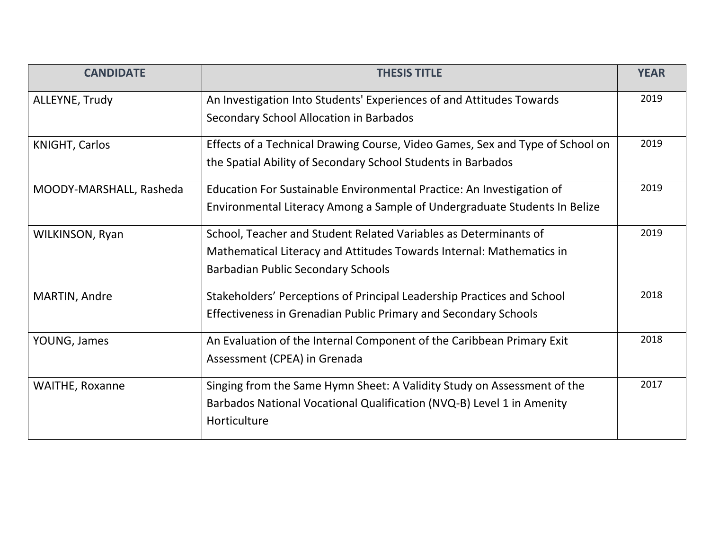| <b>CANDIDATE</b>        | <b>THESIS TITLE</b>                                                           | <b>YEAR</b> |
|-------------------------|-------------------------------------------------------------------------------|-------------|
| ALLEYNE, Trudy          | An Investigation Into Students' Experiences of and Attitudes Towards          | 2019        |
|                         | Secondary School Allocation in Barbados                                       |             |
| <b>KNIGHT, Carlos</b>   | Effects of a Technical Drawing Course, Video Games, Sex and Type of School on | 2019        |
|                         | the Spatial Ability of Secondary School Students in Barbados                  |             |
| MOODY-MARSHALL, Rasheda | Education For Sustainable Environmental Practice: An Investigation of         | 2019        |
|                         | Environmental Literacy Among a Sample of Undergraduate Students In Belize     |             |
| WILKINSON, Ryan         | School, Teacher and Student Related Variables as Determinants of              | 2019        |
|                         | Mathematical Literacy and Attitudes Towards Internal: Mathematics in          |             |
|                         | <b>Barbadian Public Secondary Schools</b>                                     |             |
| MARTIN, Andre           | Stakeholders' Perceptions of Principal Leadership Practices and School        | 2018        |
|                         | Effectiveness in Grenadian Public Primary and Secondary Schools               |             |
| YOUNG, James            | An Evaluation of the Internal Component of the Caribbean Primary Exit         | 2018        |
|                         | Assessment (CPEA) in Grenada                                                  |             |
| <b>WAITHE, Roxanne</b>  | Singing from the Same Hymn Sheet: A Validity Study on Assessment of the       | 2017        |
|                         | Barbados National Vocational Qualification (NVQ-B) Level 1 in Amenity         |             |
|                         | Horticulture                                                                  |             |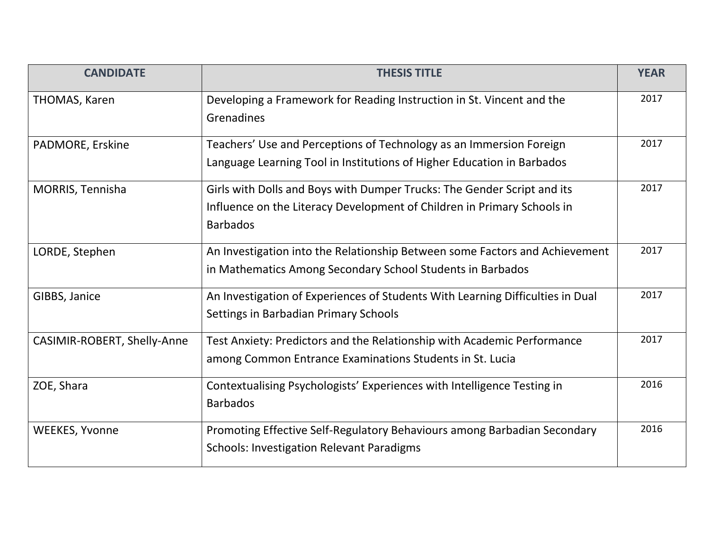| <b>CANDIDATE</b>            | <b>THESIS TITLE</b>                                                            | <b>YEAR</b> |
|-----------------------------|--------------------------------------------------------------------------------|-------------|
| THOMAS, Karen               | Developing a Framework for Reading Instruction in St. Vincent and the          | 2017        |
|                             | Grenadines                                                                     |             |
| PADMORE, Erskine            | Teachers' Use and Perceptions of Technology as an Immersion Foreign            | 2017        |
|                             | Language Learning Tool in Institutions of Higher Education in Barbados         |             |
| <b>MORRIS, Tennisha</b>     | Girls with Dolls and Boys with Dumper Trucks: The Gender Script and its        | 2017        |
|                             | Influence on the Literacy Development of Children in Primary Schools in        |             |
|                             | <b>Barbados</b>                                                                |             |
| LORDE, Stephen              | An Investigation into the Relationship Between some Factors and Achievement    | 2017        |
|                             | in Mathematics Among Secondary School Students in Barbados                     |             |
| GIBBS, Janice               | An Investigation of Experiences of Students With Learning Difficulties in Dual | 2017        |
|                             | Settings in Barbadian Primary Schools                                          |             |
| CASIMIR-ROBERT, Shelly-Anne | Test Anxiety: Predictors and the Relationship with Academic Performance        | 2017        |
|                             | among Common Entrance Examinations Students in St. Lucia                       |             |
| ZOE, Shara                  | Contextualising Psychologists' Experiences with Intelligence Testing in        | 2016        |
|                             | <b>Barbados</b>                                                                |             |
| <b>WEEKES, Yvonne</b>       | Promoting Effective Self-Regulatory Behaviours among Barbadian Secondary       | 2016        |
|                             | <b>Schools: Investigation Relevant Paradigms</b>                               |             |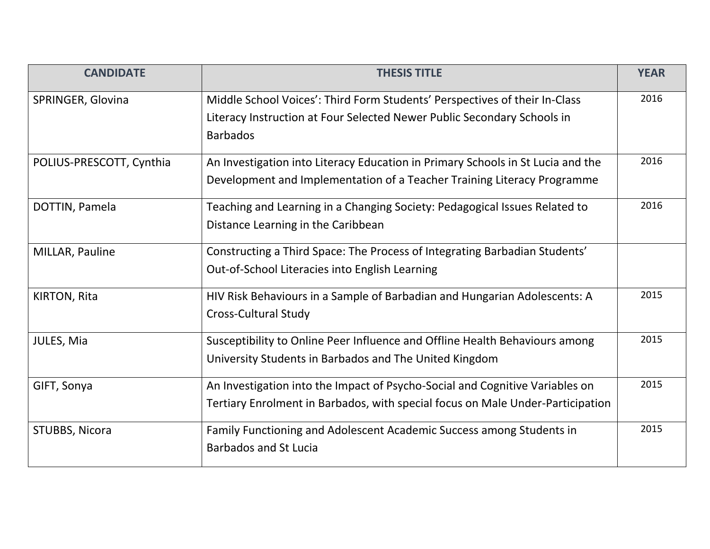| <b>CANDIDATE</b>         | <b>THESIS TITLE</b>                                                             | <b>YEAR</b> |
|--------------------------|---------------------------------------------------------------------------------|-------------|
| SPRINGER, Glovina        | Middle School Voices': Third Form Students' Perspectives of their In-Class      | 2016        |
|                          | Literacy Instruction at Four Selected Newer Public Secondary Schools in         |             |
|                          | <b>Barbados</b>                                                                 |             |
| POLIUS-PRESCOTT, Cynthia | An Investigation into Literacy Education in Primary Schools in St Lucia and the | 2016        |
|                          | Development and Implementation of a Teacher Training Literacy Programme         |             |
| DOTTIN, Pamela           | Teaching and Learning in a Changing Society: Pedagogical Issues Related to      | 2016        |
|                          | Distance Learning in the Caribbean                                              |             |
| MILLAR, Pauline          | Constructing a Third Space: The Process of Integrating Barbadian Students'      |             |
|                          | Out-of-School Literacies into English Learning                                  |             |
| <b>KIRTON, Rita</b>      | HIV Risk Behaviours in a Sample of Barbadian and Hungarian Adolescents: A       | 2015        |
|                          | <b>Cross-Cultural Study</b>                                                     |             |
| JULES, Mia               | Susceptibility to Online Peer Influence and Offline Health Behaviours among     | 2015        |
|                          | University Students in Barbados and The United Kingdom                          |             |
| GIFT, Sonya              | An Investigation into the Impact of Psycho-Social and Cognitive Variables on    | 2015        |
|                          | Tertiary Enrolment in Barbados, with special focus on Male Under-Participation  |             |
| STUBBS, Nicora           | Family Functioning and Adolescent Academic Success among Students in            | 2015        |
|                          | <b>Barbados and St Lucia</b>                                                    |             |